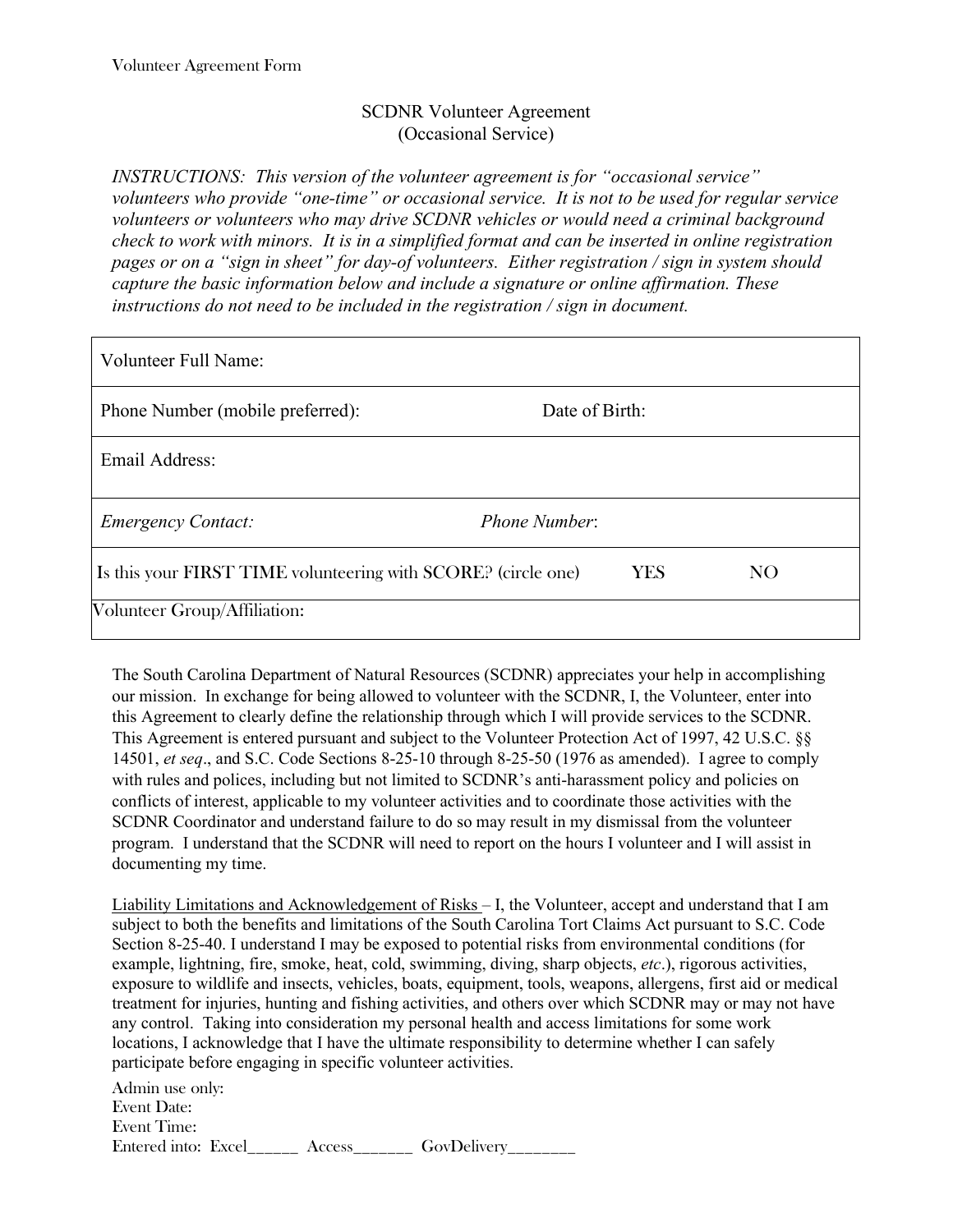## SCDNR Volunteer Agreement (Occasional Service)

*INSTRUCTIONS: This version of the volunteer agreement is for "occasional service" volunteers who provide "one-time" or occasional service. It is not to be used for regular service volunteers or volunteers who may drive SCDNR vehicles or would need a criminal background check to work with minors. It is in a simplified format and can be inserted in online registration pages or on a "sign in sheet" for day-of volunteers. Either registration / sign in system should capture the basic information below and include a signature or online affirmation. These instructions do not need to be included in the registration / sign in document.*

| <b>Volunteer Full Name:</b>                                   |                |                 |
|---------------------------------------------------------------|----------------|-----------------|
| Phone Number (mobile preferred):                              | Date of Birth: |                 |
| Email Address:                                                |                |                 |
| <b>Emergency Contact:</b>                                     | Phone Number:  |                 |
| Is this your FIRST TIME volunteering with SCORE? (circle one) | <b>YES</b>     | NO <sub>1</sub> |
| Volunteer Group/Affiliation:                                  |                |                 |

The South Carolina Department of Natural Resources (SCDNR) appreciates your help in accomplishing our mission. In exchange for being allowed to volunteer with the SCDNR, I, the Volunteer, enter into this Agreement to clearly define the relationship through which I will provide services to the SCDNR. This Agreement is entered pursuant and subject to the Volunteer Protection Act of 1997, 42 U.S.C. §§ 14501, *et seq*., and S.C. Code Sections 8-25-10 through 8-25-50 (1976 as amended). I agree to comply with rules and polices, including but not limited to SCDNR's anti-harassment policy and policies on conflicts of interest, applicable to my volunteer activities and to coordinate those activities with the SCDNR Coordinator and understand failure to do so may result in my dismissal from the volunteer program. I understand that the SCDNR will need to report on the hours I volunteer and I will assist in documenting my time.

Liability Limitations and Acknowledgement of Risks – I, the Volunteer, accept and understand that I am subject to both the benefits and limitations of the South Carolina Tort Claims Act pursuant to S.C. Code Section 8-25-40. I understand I may be exposed to potential risks from environmental conditions (for example, lightning, fire, smoke, heat, cold, swimming, diving, sharp objects, *etc*.), rigorous activities, exposure to wildlife and insects, vehicles, boats, equipment, tools, weapons, allergens, first aid or medical treatment for injuries, hunting and fishing activities, and others over which SCDNR may or may not have any control. Taking into consideration my personal health and access limitations for some work locations, I acknowledge that I have the ultimate responsibility to determine whether I can safely participate before engaging in specific volunteer activities.

Admin use only: Event Date: Event Time: Entered into: Excel\_\_\_\_\_\_\_ Access\_\_\_\_\_\_\_\_ GovDelivery\_